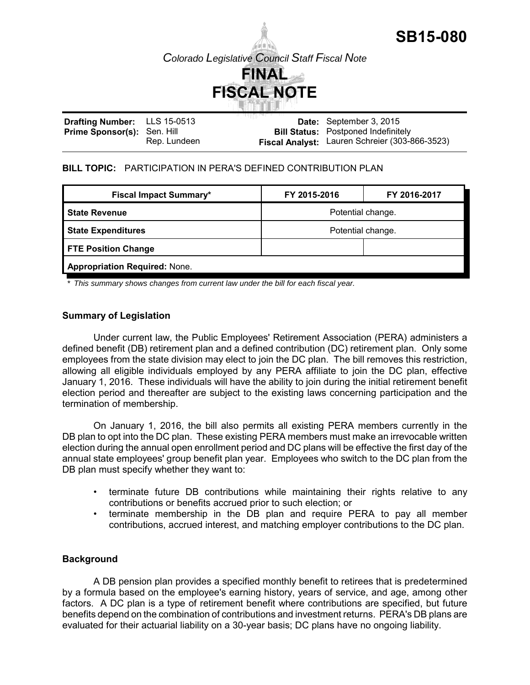

*Colorado Legislative Council Staff Fiscal Note*



| <b>Drafting Number:</b> LLS 15-0513 |              | the control of the control of | Date: September 3, 2015                        |
|-------------------------------------|--------------|-------------------------------|------------------------------------------------|
| <b>Prime Sponsor(s):</b> Sen. Hill  |              |                               | <b>Bill Status:</b> Postponed Indefinitely     |
|                                     | Rep. Lundeen |                               | Fiscal Analyst: Lauren Schreier (303-866-3523) |

#### **BILL TOPIC:** PARTICIPATION IN PERA'S DEFINED CONTRIBUTION PLAN

| <b>Fiscal Impact Summary*</b>        | FY 2015-2016      | FY 2016-2017 |  |  |
|--------------------------------------|-------------------|--------------|--|--|
| <b>State Revenue</b>                 | Potential change. |              |  |  |
| <b>State Expenditures</b>            | Potential change. |              |  |  |
| <b>FTE Position Change</b>           |                   |              |  |  |
| <b>Appropriation Required: None.</b> |                   |              |  |  |

*\* This summary shows changes from current law under the bill for each fiscal year.* 

# **Summary of Legislation**

Under current law, the Public Employees' Retirement Association (PERA) administers a defined benefit (DB) retirement plan and a defined contribution (DC) retirement plan. Only some employees from the state division may elect to join the DC plan. The bill removes this restriction, allowing all eligible individuals employed by any PERA affiliate to join the DC plan, effective January 1, 2016. These individuals will have the ability to join during the initial retirement benefit election period and thereafter are subject to the existing laws concerning participation and the termination of membership.

On January 1, 2016, the bill also permits all existing PERA members currently in the DB plan to opt into the DC plan. These existing PERA members must make an irrevocable written election during the annual open enrollment period and DC plans will be effective the first day of the annual state employees' group benefit plan year. Employees who switch to the DC plan from the DB plan must specify whether they want to:

- terminate future DB contributions while maintaining their rights relative to any contributions or benefits accrued prior to such election; or
- terminate membership in the DB plan and require PERA to pay all member contributions, accrued interest, and matching employer contributions to the DC plan.

# **Background**

A DB pension plan provides a specified monthly benefit to retirees that is predetermined by a formula based on the employee's earning history, years of service, and age, among other factors. A DC plan is a type of retirement benefit where contributions are specified, but future benefits depend on the combination of contributions and investment returns. PERA's DB plans are evaluated for their actuarial liability on a 30-year basis; DC plans have no ongoing liability.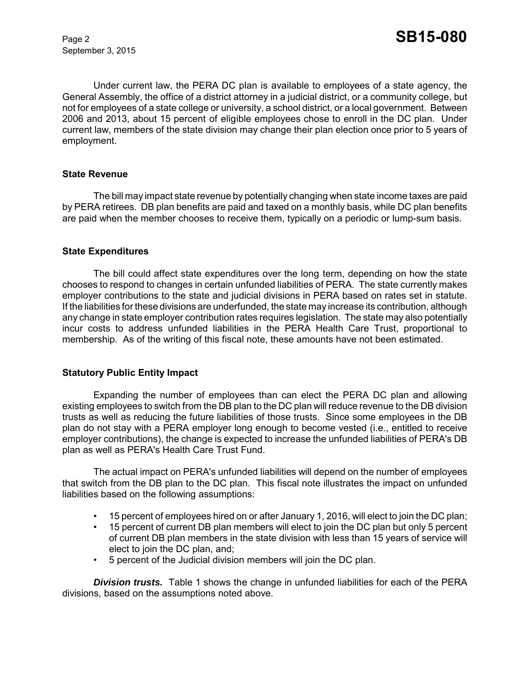September 3, 2015

Under current law, the PERA DC plan is available to employees of a state agency, the General Assembly, the office of a district attorney in a judicial district, or a community college, but not for employees of a state college or university, a school district, or a local government. Between 2006 and 2013, about 15 percent of eligible employees chose to enroll in the DC plan. Under current law, members of the state division may change their plan election once prior to 5 years of employment.

## **State Revenue**

The bill may impact state revenue by potentially changing when state income taxes are paid by PERA retirees. DB plan benefits are paid and taxed on a monthly basis, while DC plan benefits are paid when the member chooses to receive them, typically on a periodic or lump-sum basis.

#### **State Expenditures**

The bill could affect state expenditures over the long term, depending on how the state chooses to respond to changes in certain unfunded liabilities of PERA. The state currently makes employer contributions to the state and judicial divisions in PERA based on rates set in statute. If the liabilities for these divisions are underfunded, the state may increase its contribution, although any change in state employer contribution rates requires legislation. The state may also potentially incur costs to address unfunded liabilities in the PERA Health Care Trust, proportional to membership. As of the writing of this fiscal note, these amounts have not been estimated.

# **Statutory Public Entity Impact**

Expanding the number of employees than can elect the PERA DC plan and allowing existing employees to switch from the DB plan to the DC plan will reduce revenue to the DB division trusts as well as reducing the future liabilities of those trusts. Since some employees in the DB plan do not stay with a PERA employer long enough to become vested (i.e., entitled to receive employer contributions), the change is expected to increase the unfunded liabilities of PERA's DB plan as well as PERA's Health Care Trust Fund.

The actual impact on PERA's unfunded liabilities will depend on the number of employees that switch from the DB plan to the DC plan. This fiscal note illustrates the impact on unfunded liabilities based on the following assumptions:

- 15 percent of employees hired on or after January 1, 2016, will elect to join the DC plan;
- 15 percent of current DB plan members will elect to join the DC plan but only 5 percent of current DB plan members in the state division with less than 15 years of service will elect to join the DC plan, and;
- 5 percent of the Judicial division members will join the DC plan.

*Division trusts.* Table 1 shows the change in unfunded liabilities for each of the PERA divisions, based on the assumptions noted above.